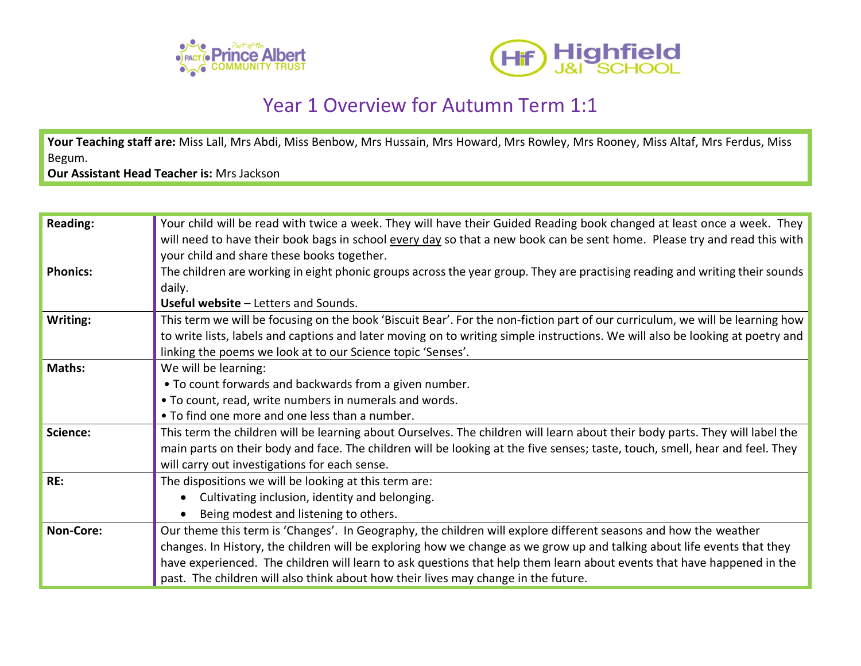



## Year 1 Overview for Autumn Term 1:1

Your Teaching staff are: Miss Lall, Mrs Abdi, Miss Benbow, Mrs Hussain, Mrs Howard, Mrs Rowley, Mrs Rooney, Miss Altaf, Mrs Ferdus, Miss Begum.

**Our Assistant Head Teacher is:** Mrs Jackson

| <b>Reading:</b> | Your child will be read with twice a week. They will have their Guided Reading book changed at least once a week. They        |
|-----------------|-------------------------------------------------------------------------------------------------------------------------------|
|                 | will need to have their book bags in school every day so that a new book can be sent home. Please try and read this with      |
|                 | your child and share these books together.                                                                                    |
| <b>Phonics:</b> | The children are working in eight phonic groups across the year group. They are practising reading and writing their sounds   |
|                 | daily.                                                                                                                        |
|                 | <b>Useful website - Letters and Sounds.</b>                                                                                   |
| Writing:        | This term we will be focusing on the book 'Biscuit Bear'. For the non-fiction part of our curriculum, we will be learning how |
|                 | to write lists, labels and captions and later moving on to writing simple instructions. We will also be looking at poetry and |
|                 | linking the poems we look at to our Science topic 'Senses'.                                                                   |
| <b>Maths:</b>   | We will be learning:                                                                                                          |
|                 | . To count forwards and backwards from a given number.                                                                        |
|                 | . To count, read, write numbers in numerals and words.                                                                        |
|                 | • To find one more and one less than a number.                                                                                |
| Science:        | This term the children will be learning about Ourselves. The children will learn about their body parts. They will label the  |
|                 | main parts on their body and face. The children will be looking at the five senses; taste, touch, smell, hear and feel. They  |
|                 | will carry out investigations for each sense.                                                                                 |
| RE:             | The dispositions we will be looking at this term are:                                                                         |
|                 | Cultivating inclusion, identity and belonging.                                                                                |
|                 | Being modest and listening to others.                                                                                         |
| Non-Core:       | Our theme this term is 'Changes'. In Geography, the children will explore different seasons and how the weather               |
|                 | changes. In History, the children will be exploring how we change as we grow up and talking about life events that they       |
|                 | have experienced. The children will learn to ask questions that help them learn about events that have happened in the        |
|                 | past. The children will also think about how their lives may change in the future.                                            |